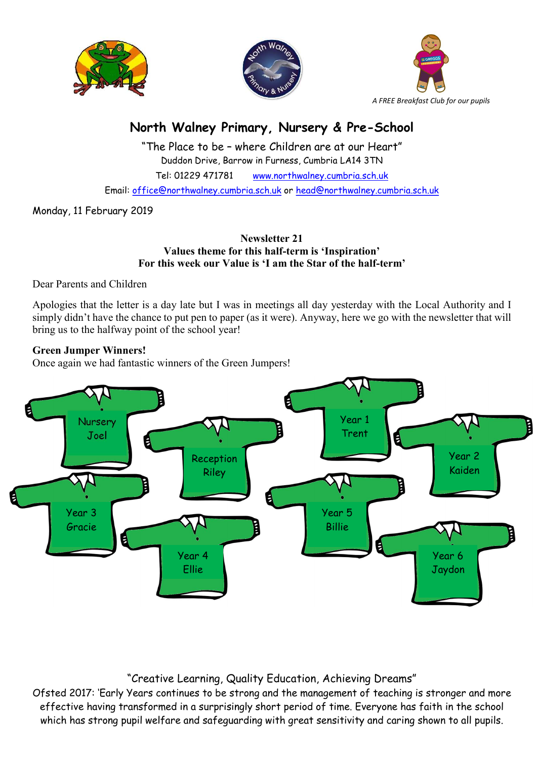





# North Walney Primary, Nursery & Pre-School

"The Place to be – where Children are at our Heart" Duddon Drive, Barrow in Furness, Cumbria LA14 3TN Tel: 01229 471781 www.northwalney.cumbria.sch.uk Email: office@northwalney.cumbria.sch.uk or head@northwalney.cumbria.sch.uk

Monday, 11 February 2019

# Newsletter 21 Values theme for this half-term is 'Inspiration' For this week our Value is 'I am the Star of the half-term'

Dear Parents and Children

Apologies that the letter is a day late but I was in meetings all day yesterday with the Local Authority and I simply didn't have the chance to put pen to paper (as it were). Anyway, here we go with the newsletter that will bring us to the halfway point of the school year!

# Green Jumper Winners!

Once again we had fantastic winners of the Green Jumpers!



# "Creative Learning, Quality Education, Achieving Dreams"

Ofsted 2017: 'Early Years continues to be strong and the management of teaching is stronger and more effective having transformed in a surprisingly short period of time. Everyone has faith in the school which has strong pupil welfare and safeguarding with great sensitivity and caring shown to all pupils.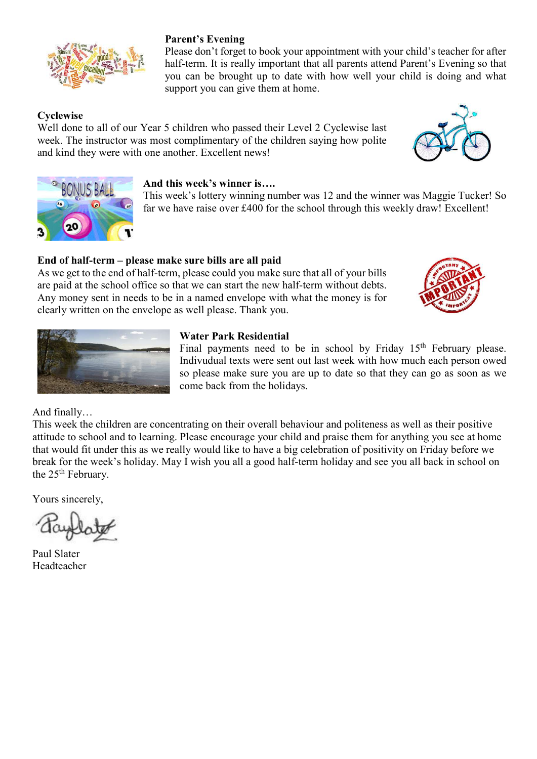

# Parent's Evening

Please don't forget to book your appointment with your child's teacher for after half-term. It is really important that all parents attend Parent's Evening so that you can be brought up to date with how well your child is doing and what support you can give them at home.

# **Cyclewise**

Well done to all of our Year 5 children who passed their Level 2 Cyclewise last week. The instructor was most complimentary of the children saying how polite and kind they were with one another. Excellent news!





#### And this week's winner is….

This week's lottery winning number was 12 and the winner was Maggie Tucker! So far we have raise over £400 for the school through this weekly draw! Excellent!

# End of half-term – please make sure bills are all paid

As we get to the end of half-term, please could you make sure that all of your bills are paid at the school office so that we can start the new half-term without debts. Any money sent in needs to be in a named envelope with what the money is for clearly written on the envelope as well please. Thank you.





#### Water Park Residential

Final payments need to be in school by Friday 15<sup>th</sup> February please. Indivudual texts were sent out last week with how much each person owed so please make sure you are up to date so that they can go as soon as we come back from the holidays.

And finally…

This week the children are concentrating on their overall behaviour and politeness as well as their positive attitude to school and to learning. Please encourage your child and praise them for anything you see at home that would fit under this as we really would like to have a big celebration of positivity on Friday before we break for the week's holiday. May I wish you all a good half-term holiday and see you all back in school on the 25<sup>th</sup> February.

Yours sincerely,

Paul Slater Headteacher